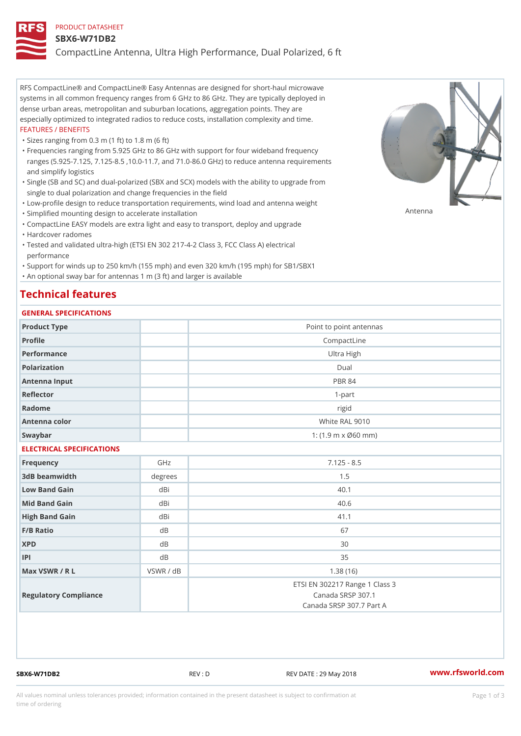#### PRODUCT DATASHEET

#### SBX6-W71DB2

CompactLine Antenna, Ultra High Performance, Dual Polarized, 6 ft

RFS CompactLine® and CompactLine® Easy Antennas are designed for short-haul microwave systems in all common frequency ranges from 6 GHz to 86 GHz. They are typically deployed in dense urban areas, metropolitan and suburban locations, aggregation points. They are especially optimized to integrated radios to reduce costs, installation complexity and time. FEATURES / BENEFITS

"Sizes ranging from 0.3 m (1 ft) to 1.8 m (6 ft)

- Frequencies ranging from 5.925 GHz to 86 GHz with support for four wideband frequency " ranges (5.925-7.125, 7.125-8.5 ,10.0-11.7, and 71.0-86.0 GHz) to reduce antenna requirements and simplify logistics
- Single (SB and SC) and dual-polarized (SBX and SCX) models with the ability to upgrade from " single to dual polarization and change frequencies in the field
- "Low-profile design to reduce transportation requirements, wind load and antenna weight
- "Simplified mounting design to accelerate installation

 "CompactLine EASY models are extra light and easy to transport, deploy and upgrade "Hardcover radomes

Tested and validated ultra-high (ETSI EN 302 217-4-2 Class 3, FCC Class A) electrical " performance

 "Support for winds up to 250 km/h (155 mph) and even 320 km/h (195 mph) for SB1/SBX1 "An optional sway bar for antennas 1 m (3 ft) and larger is available

# Technical features

### GENERAL SPECIFICATIONS

| GENERAL SELGIFICATIONS    |                                  |                                                                                 |  |  |
|---------------------------|----------------------------------|---------------------------------------------------------------------------------|--|--|
| Product Type              |                                  | Point to point antennas                                                         |  |  |
| Profile                   |                                  | CompactLine                                                                     |  |  |
| Performance               | Ultra High                       |                                                                                 |  |  |
| Polarization              | $D$ ual                          |                                                                                 |  |  |
| Antenna Input             | <b>PBR 84</b>                    |                                                                                 |  |  |
| Reflector                 | $1 - p$ art                      |                                                                                 |  |  |
| Radome                    | rigid                            |                                                                                 |  |  |
| Antenna color             | White RAL 9010                   |                                                                                 |  |  |
| Swaybar                   | 1: $(1.9 \, m \times 060 \, mm)$ |                                                                                 |  |  |
| ELECTRICAL SPECIFICATIONS |                                  |                                                                                 |  |  |
| Frequency                 | GHz                              | $7.125 - 8.5$                                                                   |  |  |
| 3dB beamwidth             | degree                           | 1.5                                                                             |  |  |
| Low Band Gain             | dBi                              | 40.1                                                                            |  |  |
| Mid Band Gain             | dBi                              | 40.6                                                                            |  |  |
| High Band Gain            | dBi                              | 41.1                                                                            |  |  |
| F/B Ratio                 | d B                              | 67                                                                              |  |  |
| <b>XPD</b>                | d B                              | 30                                                                              |  |  |
| P                         | d B                              | 35                                                                              |  |  |
| Max VSWR / R L            | VSWR / dB                        | 1.38(16)                                                                        |  |  |
| Regulatory Compliance     |                                  | ETSI EN 302217 Range 1 Class 3<br>Canada SRSP 307.1<br>Canada SRSP 307.7 Part A |  |  |

SBX6-W71DB2 REV : D REV DATE : 29 May 2018 [www.](https://www.rfsworld.com)rfsworld.com

Antenna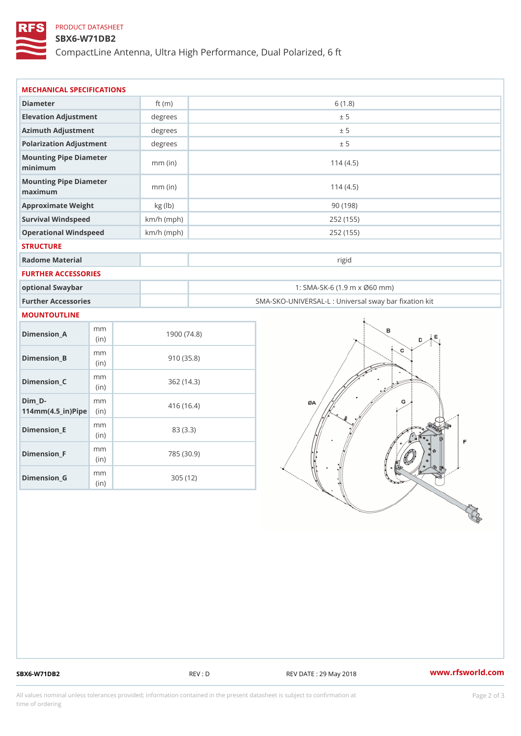## PRODUCT DATASHEET

### SBX6-W71DB2

CompactLine Antenna, Ultra High Performance, Dual Polarized, 6 ft

| MECHANICAL SPECIFICATIONS                                                      |              |                                                   |
|--------------------------------------------------------------------------------|--------------|---------------------------------------------------|
| Diameter                                                                       | ft $(m)$     | 6(1.8)                                            |
| Elevation Adjustment                                                           | degrees      | ± 5                                               |
| Azimuth Adjustment                                                             | degrees      | ± 5                                               |
| Polarization Adjustment                                                        | degrees      | ± 5                                               |
| Mounting Pipe Diameter<br>minimum                                              | $mm$ (in)    | 114(4.5)                                          |
| Mounting Pipe Diameter<br>maximum                                              | $mm$ (in)    | 114(4.5)                                          |
| Approximate Weight                                                             | kg (lb)      | 90(198)                                           |
| Survival Windspeed                                                             | $km/h$ (mph) | 252 (155)                                         |
| Operational Windspeed                                                          | $km/h$ (mph) | 252 (155)                                         |
| <b>STRUCTURE</b>                                                               |              |                                                   |
| Radome Material                                                                |              | rigid                                             |
| FURTHER ACCESSORIES                                                            |              |                                                   |
| optional Swaybar                                                               |              | 1: SMA-SK-6 (1.9 m x Ø60 mm)                      |
| Further Accessories                                                            |              | SMA-SKO-UNIVERSAL-L : Universal sway bar fixation |
| MOUNTOUTLINE                                                                   |              |                                                   |
| m m<br>$Dimenision_A$<br>(in)                                                  | 1900(74.8)   |                                                   |
| m m<br>$Dimension_B$<br>(in)                                                   | 910(35.8)    |                                                   |
| m m<br>$Dimension_C$<br>(in)                                                   | 362(14.3)    |                                                   |
| $Dim_D - D -$<br>m m<br>$114$ m m (4.5 _ ir ) $\sqrt{$ ii p $\sqrt{$ $\approx$ | 416 (16.4)   |                                                   |
| m m<br>$Dimension$ = E<br>(i n)                                                | 83 (3.3)     |                                                   |
| m m<br>$Dimension_F$<br>(in)                                                   | 785 (30.9)   |                                                   |
| m m<br>$D$ imension $_G$<br>(in)                                               | 305(12)      |                                                   |

SBX6-W71DB2 REV : D REV DATE : 29 May 2018 WWW.rfsworld.com